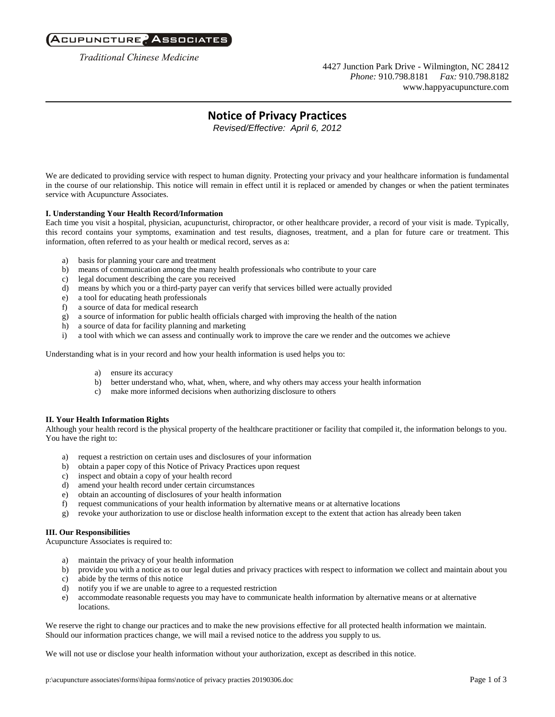## Acupuncture, Associates

**Traditional Chinese Medicine** 

4427 Junction Park Drive - Wilmington, NC 28412 *Phone:* 910.798.8181 *Fax:* 910.798.8182 www.happyacupuncture.com

# **Notice of Privacy Practices**

*Revised/Effective: April 6, 2012*

We are dedicated to providing service with respect to human dignity. Protecting your privacy and your healthcare information is fundamental in the course of our relationship. This notice will remain in effect until it is replaced or amended by changes or when the patient terminates service with Acupuncture Associates.

### **I. Understanding Your Health Record/Information**

Each time you visit a hospital, physician, acupuncturist, chiropractor, or other healthcare provider, a record of your visit is made. Typically, this record contains your symptoms, examination and test results, diagnoses, treatment, and a plan for future care or treatment. This information, often referred to as your health or medical record, serves as a:

- a) basis for planning your care and treatment
- b) means of communication among the many health professionals who contribute to your care
- c) legal document describing the care you received
- d) means by which you or a third-party payer can verify that services billed were actually provided
- e) a tool for educating heath professionals
- f) a source of data for medical research
- g) a source of information for public health officials charged with improving the health of the nation
- h) a source of data for facility planning and marketing
- i) a tool with which we can assess and continually work to improve the care we render and the outcomes we achieve

Understanding what is in your record and how your health information is used helps you to:

- a) ensure its accuracy
- b) better understand who, what, when, where, and why others may access your health information
- c) make more informed decisions when authorizing disclosure to others

### **II. Your Health Information Rights**

Although your health record is the physical property of the healthcare practitioner or facility that compiled it, the information belongs to you. You have the right to:

- a) request a restriction on certain uses and disclosures of your information
- b) obtain a paper copy of this Notice of Privacy Practices upon request
- c) inspect and obtain a copy of your health record
- d) amend your health record under certain circumstances
- e) obtain an accounting of disclosures of your health information
- f) request communications of your health information by alternative means or at alternative locations
- g) revoke your authorization to use or disclose health information except to the extent that action has already been taken

### **III. Our Responsibilities**

Acupuncture Associates is required to:

- a) maintain the privacy of your health information
- b) provide you with a notice as to our legal duties and privacy practices with respect to information we collect and maintain about you
- c) abide by the terms of this notice
- d) notify you if we are unable to agree to a requested restriction
- e) accommodate reasonable requests you may have to communicate health information by alternative means or at alternative locations.

We reserve the right to change our practices and to make the new provisions effective for all protected health information we maintain. Should our information practices change, we will mail a revised notice to the address you supply to us.

We will not use or disclose your health information without your authorization, except as described in this notice.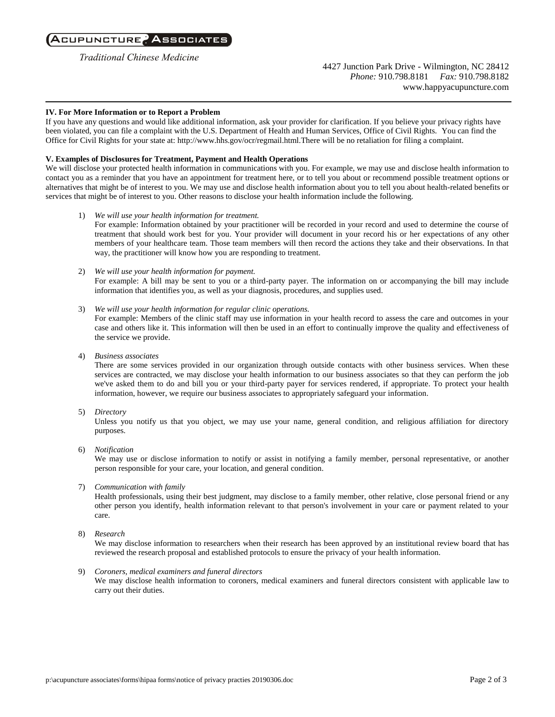## Acupuncture? Associates

**Traditional Chinese Medicine** 

4427 Junction Park Drive - Wilmington, NC 28412 *Phone:* 910.798.8181 *Fax:* 910.798.8182 www.happyacupuncture.com

#### **IV. For More Information or to Report a Problem**

If you have any questions and would like additional information, ask your provider for clarification. If you believe your privacy rights have been violated, you can file a complaint with the U.S. Department of Health and Human Services, Office of Civil Rights. You can find the Office for Civil Rights for your state at: http://www.hhs.gov/ocr/regmail.html.There will be no retaliation for filing a complaint.

#### **V. Examples of Disclosures for Treatment, Payment and Health Operations**

We will disclose your protected health information in communications with you. For example, we may use and disclose health information to contact you as a reminder that you have an appointment for treatment here, or to tell you about or recommend possible treatment options or alternatives that might be of interest to you. We may use and disclose health information about you to tell you about health-related benefits or services that might be of interest to you. Other reasons to disclose your health information include the following.

- 1) *We will use your health information for treatment.* For example: Information obtained by your practitioner will be recorded in your record and used to determine the course of treatment that should work best for you. Your provider will document in your record his or her expectations of any other members of your healthcare team. Those team members will then record the actions they take and their observations. In that way, the practitioner will know how you are responding to treatment.
- 2) *We will use your health information for payment.* For example: A bill may be sent to you or a third-party payer. The information on or accompanying the bill may include information that identifies you, as well as your diagnosis, procedures, and supplies used.
- 3) *We will use your health information for regular clinic operations.*

For example: Members of the clinic staff may use information in your health record to assess the care and outcomes in your case and others like it. This information will then be used in an effort to continually improve the quality and effectiveness of the service we provide.

4) *Business associates*

There are some services provided in our organization through outside contacts with other business services. When these services are contracted, we may disclose your health information to our business associates so that they can perform the job we've asked them to do and bill you or your third-party payer for services rendered, if appropriate. To protect your health information, however, we require our business associates to appropriately safeguard your information.

5) *Directory*

Unless you notify us that you object, we may use your name, general condition, and religious affiliation for directory purposes.

6) *Notification*

We may use or disclose information to notify or assist in notifying a family member, personal representative, or another person responsible for your care, your location, and general condition.

7) *Communication with family*

Health professionals, using their best judgment, may disclose to a family member, other relative, close personal friend or any other person you identify, health information relevant to that person's involvement in your care or payment related to your care.

8) *Research*

We may disclose information to researchers when their research has been approved by an institutional review board that has reviewed the research proposal and established protocols to ensure the privacy of your health information.

### 9) *Coroners, medical examiners and funeral directors*

We may disclose health information to coroners, medical examiners and funeral directors consistent with applicable law to carry out their duties.